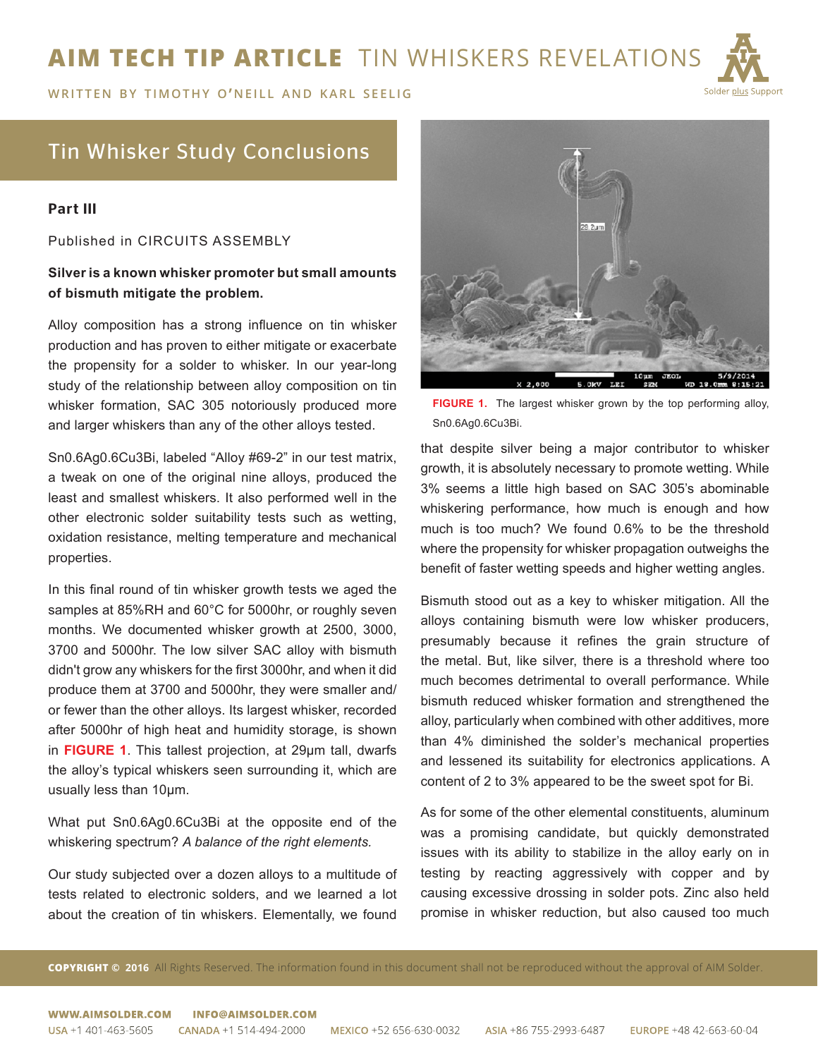# **AIM TECH TIP ARTICLE** TIN WHISKERS REVELATIONS



**WRITTEN BY TIMOTHY O'NEILL AND KARL SEELIG** 

## Tin Whisker Study Conclusions

#### Part III

Published in CIRCUITS ASSEMBLY

### **Silver is a known whisker promoter but small amounts of bismuth mitigate the problem.**

Alloy composition has a strong influence on tin whisker production and has proven to either mitigate or exacerbate the propensity for a solder to whisker. In our year-long study of the relationship between alloy composition on tin whisker formation, SAC 305 notoriously produced more and larger whiskers than any of the other alloys tested.

Sn0.6Ag0.6Cu3Bi, labeled "Alloy #69-2" in our test matrix, a tweak on one of the original nine alloys, produced the least and smallest whiskers. It also performed well in the other electronic solder suitability tests such as wetting, oxidation resistance, melting temperature and mechanical properties.

In this final round of tin whisker growth tests we aged the samples at 85%RH and 60°C for 5000hr, or roughly seven months. We documented whisker growth at 2500, 3000, 3700 and 5000hr. The low silver SAC alloy with bismuth didn't grow any whiskers for the first 3000hr, and when it did produce them at 3700 and 5000hr, they were smaller and/ or fewer than the other alloys. Its largest whisker, recorded after 5000hr of high heat and humidity storage, is shown in **FIGURE 1**. This tallest projection, at 29µm tall, dwarfs the alloy's typical whiskers seen surrounding it, which are usually less than 10µm.

What put Sn0.6Ag0.6Cu3Bi at the opposite end of the whiskering spectrum? *A balance of the right elements.*

Our study subjected over a dozen alloys to a multitude of tests related to electronic solders, and we learned a lot about the creation of tin whiskers. Elementally, we found



**FIGURE 1.** The largest whisker grown by the top performing alloy, Sn0.6Ag0.6Cu3Bi.

that despite silver being a major contributor to whisker growth, it is absolutely necessary to promote wetting. While 3% seems a little high based on SAC 305's abominable whiskering performance, how much is enough and how much is too much? We found 0.6% to be the threshold where the propensity for whisker propagation outweighs the benefit of faster wetting speeds and higher wetting angles.

Bismuth stood out as a key to whisker mitigation. All the alloys containing bismuth were low whisker producers, presumably because it refines the grain structure of the metal. But, like silver, there is a threshold where too much becomes detrimental to overall performance. While bismuth reduced whisker formation and strengthened the alloy, particularly when combined with other additives, more than 4% diminished the solder's mechanical properties and lessened its suitability for electronics applications. A content of 2 to 3% appeared to be the sweet spot for Bi.

As for some of the other elemental constituents, aluminum was a promising candidate, but quickly demonstrated issues with its ability to stabilize in the alloy early on in testing by reacting aggressively with copper and by causing excessive drossing in solder pots. Zinc also held promise in whisker reduction, but also caused too much

**COPYRIGHT © 2016** All Rights Reserved. The information found in this document shall not be reproduced without the approval of AIM Solder.

WWW AIMSOLDER COM INFO@AIMSOLDER.COM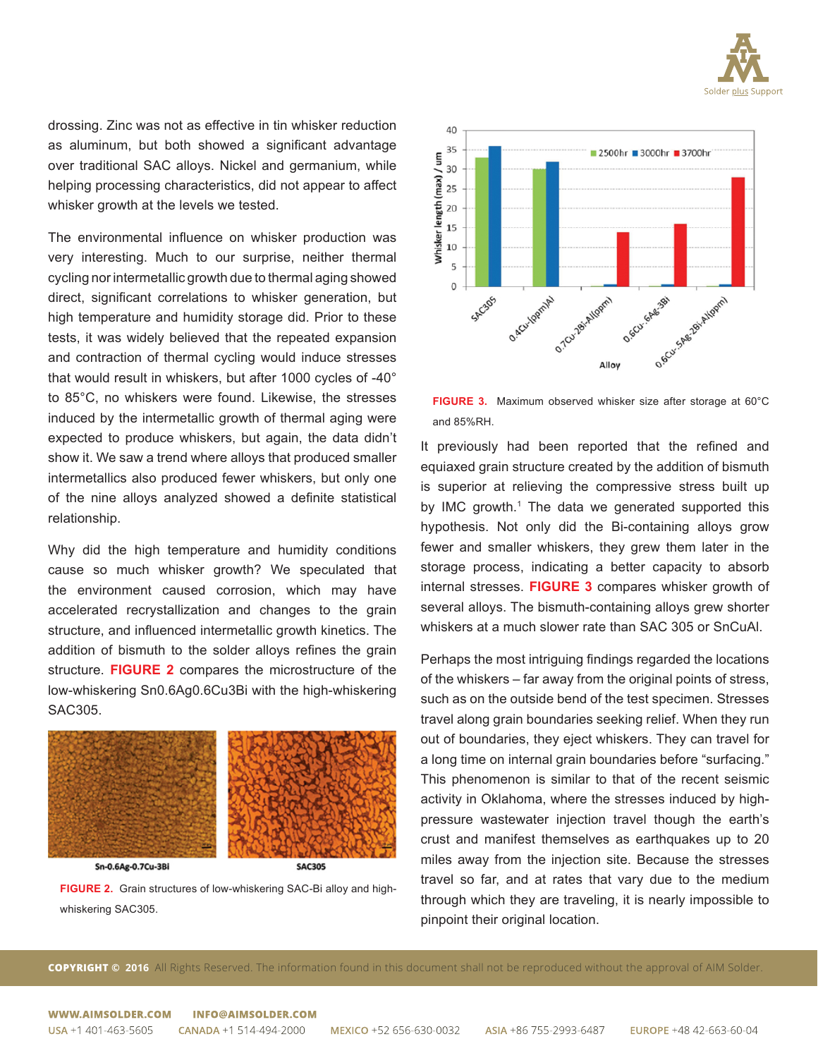

drossing. Zinc was not as effective in tin whisker reduction as aluminum, but both showed a significant advantage over traditional SAC alloys. Nickel and germanium, while helping processing characteristics, did not appear to affect whisker growth at the levels we tested.

The environmental influence on whisker production was very interesting. Much to our surprise, neither thermal cycling nor intermetallic growth due to thermal aging showed direct, significant correlations to whisker generation, but high temperature and humidity storage did. Prior to these tests, it was widely believed that the repeated expansion and contraction of thermal cycling would induce stresses that would result in whiskers, but after 1000 cycles of -40° to 85°C, no whiskers were found. Likewise, the stresses induced by the intermetallic growth of thermal aging were expected to produce whiskers, but again, the data didn't show it. We saw a trend where alloys that produced smaller intermetallics also produced fewer whiskers, but only one of the nine alloys analyzed showed a definite statistical relationship.

Why did the high temperature and humidity conditions cause so much whisker growth? We speculated that the environment caused corrosion, which may have accelerated recrystallization and changes to the grain structure, and influenced intermetallic growth kinetics. The addition of bismuth to the solder alloys refines the grain structure. **FIGURE 2** compares the microstructure of the low-whiskering Sn0.6Ag0.6Cu3Bi with the high-whiskering SAC305.



Sn-0.6Ag-0.7Cu-3Bi

**SAC305** 

**FIGURE 2.** Grain structures of low-whiskering SAC-Bi alloy and highwhiskering SAC305.



**FIGURE 3.** Maximum observed whisker size after storage at 60°C and 85%RH.

It previously had been reported that the refined and equiaxed grain structure created by the addition of bismuth is superior at relieving the compressive stress built up by IMC growth.<sup>1</sup> The data we generated supported this hypothesis. Not only did the Bi-containing alloys grow fewer and smaller whiskers, they grew them later in the storage process, indicating a better capacity to absorb internal stresses. **FIGURE 3** compares whisker growth of several alloys. The bismuth-containing alloys grew shorter whiskers at a much slower rate than SAC 305 or SnCuAl.

Perhaps the most intriguing findings regarded the locations of the whiskers – far away from the original points of stress, such as on the outside bend of the test specimen. Stresses travel along grain boundaries seeking relief. When they run out of boundaries, they eject whiskers. They can travel for a long time on internal grain boundaries before "surfacing." This phenomenon is similar to that of the recent seismic activity in Oklahoma, where the stresses induced by highpressure wastewater injection travel though the earth's crust and manifest themselves as earthquakes up to 20 miles away from the injection site. Because the stresses travel so far, and at rates that vary due to the medium through which they are traveling, it is nearly impossible to pinpoint their original location.

**COPYRIGHT © 2016** All Rights Reserved. The information found in this document shall not be reproduced without the approval of AIM Solder.

#### WWW.AIMSOLDER.COM **INFO@AIMSOLDER.COM**

USA +1 401-463-5605 CANADA +1 514-494-2000

EUROPE +48 42-663-60-04 ASIA +86 755-2993-6487